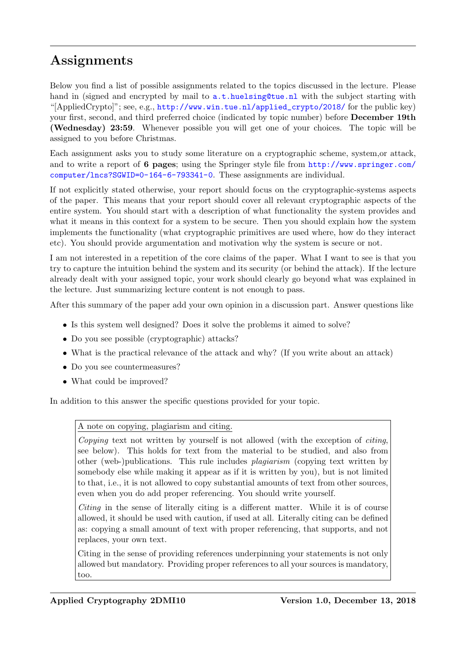## Assignments

Below you find a list of possible assignments related to the topics discussed in the lecture. Please hand in (signed and encrypted by mail to  $a.t.$  huelsing@tue.nl with the subject starting with "[AppliedCrypto]"; see, e.g., [http://www.win.tue.nl/applied\\_crypto/2018/](http://www.win.tue.nl/applied_crypto/2018/) for the public key) your first, second, and third preferred choice (indicated by topic number) before **December 19th** (Wednesday) 23:59. Whenever possible you will get one of your choices. The topic will be assigned to you before Christmas.

Each assignment asks you to study some literature on a cryptographic scheme, system,or attack, and to write a report of 6 pages; using the Springer style file from [http://www.springer.com/](http://www.springer.com/computer/lncs?SGWID=0-164-6-793341-0) [computer/lncs?SGWID=0-164-6-793341-0](http://www.springer.com/computer/lncs?SGWID=0-164-6-793341-0). These assignments are individual.

If not explicitly stated otherwise, your report should focus on the cryptographic-systems aspects of the paper. This means that your report should cover all relevant cryptographic aspects of the entire system. You should start with a description of what functionality the system provides and what it means in this context for a system to be secure. Then you should explain how the system implements the functionality (what cryptographic primitives are used where, how do they interact etc). You should provide argumentation and motivation why the system is secure or not.

I am not interested in a repetition of the core claims of the paper. What I want to see is that you try to capture the intuition behind the system and its security (or behind the attack). If the lecture already dealt with your assigned topic, your work should clearly go beyond what was explained in the lecture. Just summarizing lecture content is not enough to pass.

After this summary of the paper add your own opinion in a discussion part. Answer questions like

- Is this system well designed? Does it solve the problems it aimed to solve?
- Do you see possible (cryptographic) attacks?
- What is the practical relevance of the attack and why? (If you write about an attack)
- Do you see countermeasures?
- What could be improved?

In addition to this answer the specific questions provided for your topic.

A note on copying, plagiarism and citing.

Copying text not written by yourself is not allowed (with the exception of *citing*, see below). This holds for text from the material to be studied, and also from other (web-)publications. This rule includes plagiarism (copying text written by somebody else while making it appear as if it is written by you), but is not limited to that, i.e., it is not allowed to copy substantial amounts of text from other sources, even when you do add proper referencing. You should write yourself.

Citing in the sense of literally citing is a different matter. While it is of course allowed, it should be used with caution, if used at all. Literally citing can be defined as: copying a small amount of text with proper referencing, that supports, and not replaces, your own text.

Citing in the sense of providing references underpinning your statements is not only allowed but mandatory. Providing proper references to all your sources is mandatory, too.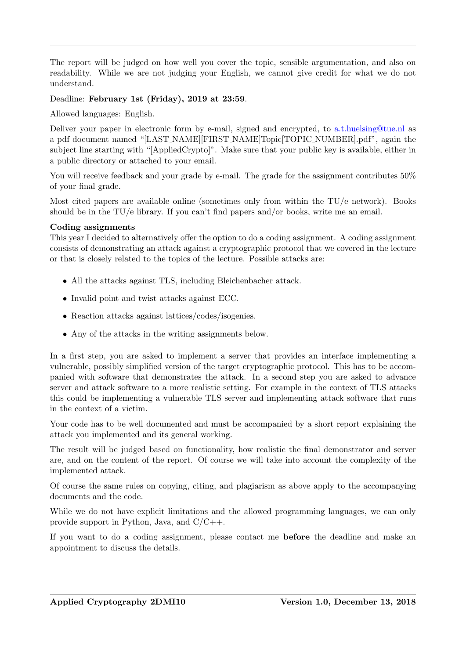The report will be judged on how well you cover the topic, sensible argumentation, and also on readability. While we are not judging your English, we cannot give credit for what we do not understand.

Deadline: February 1st (Friday), 2019 at 23:59.

Allowed languages: English.

Deliver your paper in electronic form by e-mail, signed and encrypted, to [a.t.huelsing@tue.nl](mailto:a.t.huelsing@tue.nl) as a pdf document named "[LAST NAME][FIRST NAME]Topic[TOPIC NUMBER].pdf", again the subject line starting with "[AppliedCrypto]". Make sure that your public key is available, either in a public directory or attached to your email.

You will receive feedback and your grade by e-mail. The grade for the assignment contributes  $50\%$ of your final grade.

Most cited papers are available online (sometimes only from within the TU/e network). Books should be in the TU/e library. If you can't find papers and/or books, write me an email.

## Coding assignments

This year I decided to alternatively offer the option to do a coding assignment. A coding assignment consists of demonstrating an attack against a cryptographic protocol that we covered in the lecture or that is closely related to the topics of the lecture. Possible attacks are:

- All the attacks against TLS, including Bleichenbacher attack.
- Invalid point and twist attacks against ECC.
- Reaction attacks against lattices/codes/isogenies.
- Any of the attacks in the writing assignments below.

In a first step, you are asked to implement a server that provides an interface implementing a vulnerable, possibly simplified version of the target cryptographic protocol. This has to be accompanied with software that demonstrates the attack. In a second step you are asked to advance server and attack software to a more realistic setting. For example in the context of TLS attacks this could be implementing a vulnerable TLS server and implementing attack software that runs in the context of a victim.

Your code has to be well documented and must be accompanied by a short report explaining the attack you implemented and its general working.

The result will be judged based on functionality, how realistic the final demonstrator and server are, and on the content of the report. Of course we will take into account the complexity of the implemented attack.

Of course the same rules on copying, citing, and plagiarism as above apply to the accompanying documents and the code.

While we do not have explicit limitations and the allowed programming languages, we can only provide support in Python, Java, and  $C/C++$ .

If you want to do a coding assignment, please contact me before the deadline and make an appointment to discuss the details.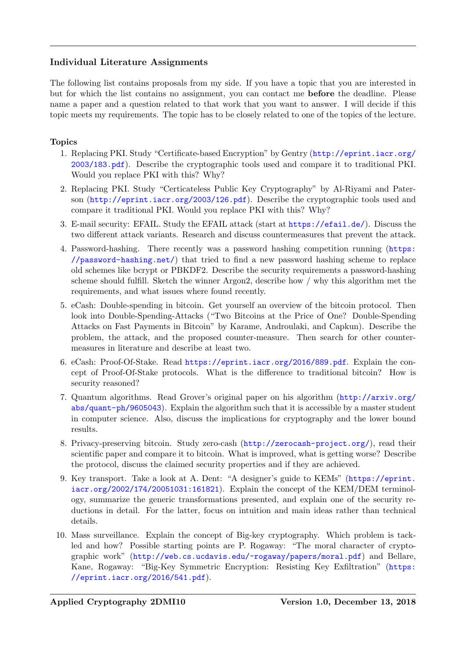## Individual Literature Assignments

The following list contains proposals from my side. If you have a topic that you are interested in but for which the list contains no assignment, you can contact me before the deadline. Please name a paper and a question related to that work that you want to answer. I will decide if this topic meets my requirements. The topic has to be closely related to one of the topics of the lecture.

## Topics

- 1. Replacing PKI. Study "Certificate-based Encryption" by Gentry ([http://eprint.iacr.org/](http://eprint.iacr.org/2003/183.pdf) [2003/183.pdf](http://eprint.iacr.org/2003/183.pdf)). Describe the cryptographic tools used and compare it to traditional PKI. Would you replace PKI with this? Why?
- 2. Replacing PKI. Study "Certicateless Public Key Cryptography" by Al-Riyami and Paterson (<http://eprint.iacr.org/2003/126.pdf>). Describe the cryptographic tools used and compare it traditional PKI. Would you replace PKI with this? Why?
- 3. E-mail security: EFAIL. Study the EFAIL attack (start at <https://efail.de/>). Discuss the two different attack variants. Research and discuss countermeasures that prevent the attack.
- 4. Password-hashing. There recently was a password hashing competition running ([https:](https://password-hashing.net/) [//password-hashing.net/](https://password-hashing.net/)) that tried to find a new password hashing scheme to replace old schemes like bcrypt or PBKDF2. Describe the security requirements a password-hashing scheme should fulfill. Sketch the winner Argon2, describe how / why this algorithm met the requirements, and what issues where found recently.
- 5. eCash: Double-spending in bitcoin. Get yourself an overview of the bitcoin protocol. Then look into Double-Spending-Attacks ("Two Bitcoins at the Price of One? Double-Spending Attacks on Fast Payments in Bitcoin" by Karame, Androulaki, and Capkun). Describe the problem, the attack, and the proposed counter-measure. Then search for other countermeasures in literature and describe at least two.
- 6. eCash: Proof-Of-Stake. Read <https://eprint.iacr.org/2016/889.pdf>. Explain the concept of Proof-Of-Stake protocols. What is the difference to traditional bitcoin? How is security reasoned?
- 7. Quantum algorithms. Read Grover's original paper on his algorithm ([http://arxiv.org/](http://arxiv.org/abs/quant-ph/9605043) [abs/quant-ph/9605043](http://arxiv.org/abs/quant-ph/9605043)). Explain the algorithm such that it is accessible by a master student in computer science. Also, discuss the implications for cryptography and the lower bound results.
- 8. Privacy-preserving bitcoin. Study zero-cash (<http://zerocash-project.org/>), read their scientific paper and compare it to bitcoin. What is improved, what is getting worse? Describe the protocol, discuss the claimed security properties and if they are achieved.
- 9. Key transport. Take a look at A. Dent: "A designer's guide to KEMs" ([https://eprint.](https://eprint.iacr.org/2002/174/20051031:161821) [iacr.org/2002/174/20051031:161821](https://eprint.iacr.org/2002/174/20051031:161821)). Explain the concept of the KEM/DEM terminology, summarize the generic transformations presented, and explain one of the security reductions in detail. For the latter, focus on intuition and main ideas rather than technical details.
- 10. Mass surveillance. Explain the concept of Big-key cryptography. Which problem is tackled and how? Possible starting points are P. Rogaway: "The moral character of cryptographic work" (<http://web.cs.ucdavis.edu/~rogaway/papers/moral.pdf>) and Bellare, Kane, Rogaway: "Big-Key Symmetric Encryption: Resisting Key Exfiltration" ([https:](https://eprint.iacr.org/2016/541.pdf) [//eprint.iacr.org/2016/541.pdf](https://eprint.iacr.org/2016/541.pdf)).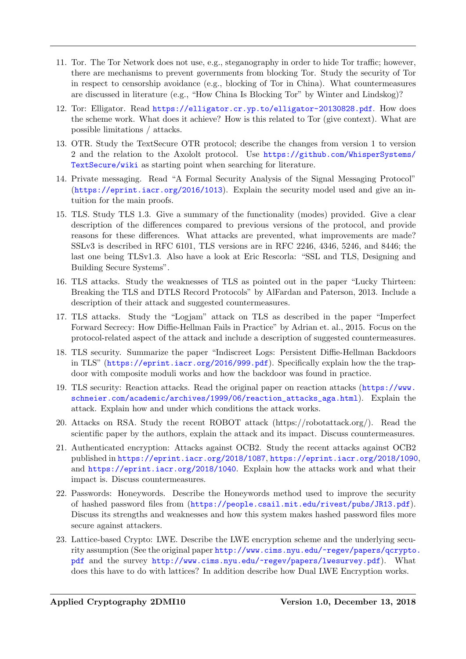- 11. Tor. The Tor Network does not use, e.g., steganography in order to hide Tor traffic; however, there are mechanisms to prevent governments from blocking Tor. Study the security of Tor in respect to censorship avoidance (e.g., blocking of Tor in China). What countermeasures are discussed in literature (e.g., "How China Is Blocking Tor" by Winter and Lindskog)?
- 12. Tor: Elligator. Read <https://elligator.cr.yp.to/elligator-20130828.pdf>. How does the scheme work. What does it achieve? How is this related to Tor (give context). What are possible limitations / attacks.
- 13. OTR. Study the TextSecure OTR protocol; describe the changes from version 1 to version 2 and the relation to the Axololt protocol. Use [https://github.com/WhisperSystems/](https://github.com/WhisperSystems/TextSecure/wiki) [TextSecure/wiki](https://github.com/WhisperSystems/TextSecure/wiki) as starting point when searching for literature.
- 14. Private messaging. Read "A Formal Security Analysis of the Signal Messaging Protocol" (<https://eprint.iacr.org/2016/1013>). Explain the security model used and give an intuition for the main proofs.
- 15. TLS. Study TLS 1.3. Give a summary of the functionality (modes) provided. Give a clear description of the differences compared to previous versions of the protocol, and provide reasons for these differences. What attacks are prevented, what improvements are made? SSLv3 is described in RFC 6101, TLS versions are in RFC 2246, 4346, 5246, and 8446; the last one being TLSv1.3. Also have a look at Eric Rescorla: "SSL and TLS, Designing and Building Secure Systems".
- 16. TLS attacks. Study the weaknesses of TLS as pointed out in the paper "Lucky Thirteen: Breaking the TLS and DTLS Record Protocols" by AlFardan and Paterson, 2013. Include a description of their attack and suggested countermeasures.
- 17. TLS attacks. Study the "Logjam" attack on TLS as described in the paper "Imperfect Forward Secrecy: How Diffie-Hellman Fails in Practice" by Adrian et. al., 2015. Focus on the protocol-related aspect of the attack and include a description of suggested countermeasures.
- 18. TLS security. Summarize the paper "Indiscreet Logs: Persistent Diffie-Hellman Backdoors in TLS" (<https://eprint.iacr.org/2016/999.pdf>). Specifically explain how the the trapdoor with composite moduli works and how the backdoor was found in practice.
- 19. TLS security: Reaction attacks. Read the original paper on reaction attacks ([https://www.](https://www.schneier.com/academic/archives/1999/06/reaction_attacks_aga.html) [schneier.com/academic/archives/1999/06/reaction\\_attacks\\_aga.html](https://www.schneier.com/academic/archives/1999/06/reaction_attacks_aga.html)). Explain the attack. Explain how and under which conditions the attack works.
- 20. Attacks on RSA. Study the recent ROBOT attack (https://robotattack.org/). Read the scientific paper by the authors, explain the attack and its impact. Discuss countermeasures.
- 21. Authenticated encryption: Attacks against OCB2. Study the recent attacks against OCB2 published in <https://eprint.iacr.org/2018/1087>, <https://eprint.iacr.org/2018/1090>, and <https://eprint.iacr.org/2018/1040>. Explain how the attacks work and what their impact is. Discuss countermeasures.
- 22. Passwords: Honeywords. Describe the Honeywords method used to improve the security of hashed password files from (<https://people.csail.mit.edu/rivest/pubs/JR13.pdf>). Discuss its strengths and weaknesses and how this system makes hashed password files more secure against attackers.
- 23. Lattice-based Crypto: LWE. Describe the LWE encryption scheme and the underlying security assumption (See the original paper [http://www.cims.nyu.edu/~regev/papers/qcrypto](http://www.cims.nyu.edu/~regev/papers/qcrypto.pdf). [pdf](http://www.cims.nyu.edu/~regev/papers/qcrypto.pdf) and the survey <http://www.cims.nyu.edu/~regev/papers/lwesurvey.pdf>). What does this have to do with lattices? In addition describe how Dual LWE Encryption works.